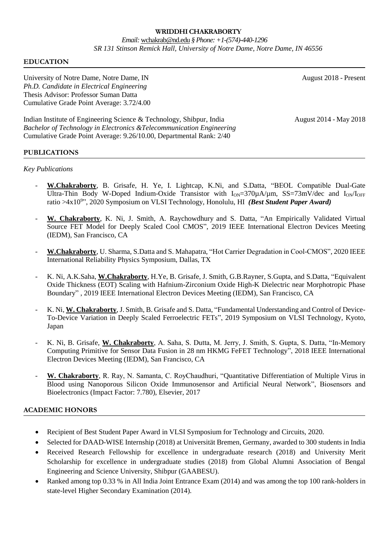## **WRIDDHI CHAKRABORTY**

## *Email:* [wchakrab@nd.edu](mailto:wchakrab@nd.edu) *§ Phone: +1-(574)-440-1296 SR 131 Stinson Remick Hall, University of Notre Dame, Notre Dame, IN 46556*

## **EDUCATION**

University of Notre Dame, Notre Dame, IN August 2018 - Present *Ph.D. Candidate in Electrical Engineering* Thesis Advisor: Professor Suman Datta Cumulative Grade Point Average: 3.72/4.00

Indian Institute of Engineering Science & Technology, Shibpur, India August 2014 - May 2018 *Bachelor of Technology in Electronics &Telecommunication Engineering*  Cumulative Grade Point Average: 9.26/10.00, Departmental Rank: 2/40

## **PUBLICATIONS**

#### *Key Publications*

- **W.Chakraborty**, B. Grisafe, H. Ye, I. Lightcap, K.Ni, and S.Datta, "BEOL Compatible Dual-Gate Ultra-Thin Body W-Doped Indium-Oxide Transistor with  $I_{ON}=370\mu A/\mu m$ , SS=73mV/dec and  $I_{ON}/I_{OFF}$ ratio >4x10<sup>9</sup>", 2020 Symposium on VLSI Technology, Honolulu, HI *(Best Student Paper Award)*
- **W. Chakraborty**, K. Ni, J. Smith, A. Raychowdhury and S. Datta, "An Empirically Validated Virtual Source FET Model for Deeply Scaled Cool CMOS", 2019 IEEE International Electron Devices Meeting (IEDM), San Francisco, CA
- **W.Chakraborty**, U. Sharma, S.Datta and S. Mahapatra, "Hot Carrier Degradation in Cool-CMOS", 2020 IEEE International Reliability Physics Symposium, Dallas, TX
- K. Ni, A.K.Saha, **W.Chakraborty**, H.Ye, B. Grisafe, J. Smith, G.B.Rayner, S.Gupta, and S.Datta, "Equivalent Oxide Thickness (EOT) Scaling with Hafnium-Zirconium Oxide High-K Dielectric near Morphotropic Phase Boundary" , 2019 IEEE International Electron Devices Meeting (IEDM), San Francisco, CA
- K. Ni, **W. Chakraborty**, J. Smith, B. Grisafe and S. Datta, "Fundamental Understanding and Control of Device-To-Device Variation in Deeply Scaled Ferroelectric FETs", 2019 Symposium on VLSI Technology, Kyoto, Japan
- K. Ni, B. Grisafe, **W. Chakraborty**, A. Saha, S. Dutta, M. Jerry, J. Smith, S. Gupta, S. Datta, "In-Memory Computing Primitive for Sensor Data Fusion in 28 nm HKMG FeFET Technology", 2018 IEEE International Electron Devices Meeting (IEDM), San Francisco, CA
- **W. Chakraborty**, R. Ray, N. Samanta, C. RoyChaudhuri, "Quantitative Differentiation of Multiple Virus in Blood using Nanoporous Silicon Oxide Immunosensor and Artificial Neural Network", Biosensors and Bioelectronics (Impact Factor: 7.780), Elsevier, 2017

## **ACADEMIC HONORS**

- Recipient of Best Student Paper Award in VLSI Symposium for Technology and Circuits, 2020.
- Selected for DAAD-WISE Internship (2018) at Universität Bremen, Germany, awarded to 300 students in India
- Received Research Fellowship for excellence in undergraduate research (2018) and University Merit Scholarship for excellence in undergraduate studies (2018) from Global Alumni Association of Bengal Engineering and Science University, Shibpur (GAABESU).
- Ranked among top 0.33 % in All India Joint Entrance Exam (2014) and was among the top 100 rank-holders in state-level Higher Secondary Examination (2014).